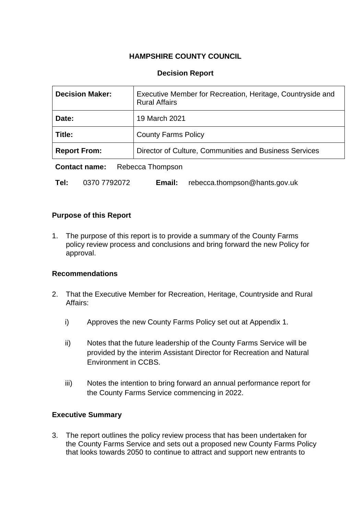### **HAMPSHIRE COUNTY COUNCIL**

### **Decision Report**

| <b>Decision Maker:</b>                   | Executive Member for Recreation, Heritage, Countryside and<br><b>Rural Affairs</b> |  |
|------------------------------------------|------------------------------------------------------------------------------------|--|
| Date:                                    | 19 March 2021                                                                      |  |
| Title:                                   | <b>County Farms Policy</b>                                                         |  |
| <b>Report From:</b>                      | Director of Culture, Communities and Business Services                             |  |
| <b>Dohocco</b> Thompson<br>Contact name: |                                                                                    |  |

**Contact name:** Rebecca Inompson

**Tel:** 0370 7792072 **Email:** rebecca.thompson@hants.gov.uk

#### **Purpose of this Report**

1. The purpose of this report is to provide a summary of the County Farms policy review process and conclusions and bring forward the new Policy for approval.

#### **Recommendations**

- 2. That the Executive Member for Recreation, Heritage, Countryside and Rural Affairs:
	- i) Approves the new County Farms Policy set out at Appendix 1.
	- ii) Notes that the future leadership of the County Farms Service will be provided by the interim Assistant Director for Recreation and Natural Environment in CCBS.
	- iii) Notes the intention to bring forward an annual performance report for the County Farms Service commencing in 2022.

### **Executive Summary**

3. The report outlines the policy review process that has been undertaken for the County Farms Service and sets out a proposed new County Farms Policy that looks towards 2050 to continue to attract and support new entrants to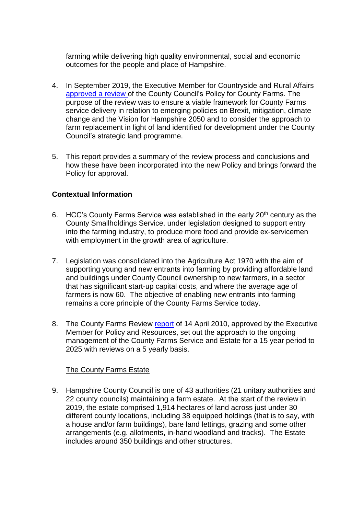farming while delivering high quality environmental, social and economic outcomes for the people and place of Hampshire.

- 4. In September 2019, the Executive Member for Countryside and Rural Affairs [approved a review](https://democracy.hants.gov.uk/documents/s38196/2019-09-19%20FINAL%20EMCRA%20RPT%20-%20County%20Farms%20Policy%20Review.pdf) of the County Council's Policy for County Farms. The purpose of the review was to ensure a viable framework for County Farms service delivery in relation to emerging policies on Brexit, mitigation, climate change and the Vision for Hampshire 2050 and to consider the approach to farm replacement in light of land identified for development under the County Council's strategic land programme.
- 5. This report provides a summary of the review process and conclusions and how these have been incorporated into the new Policy and brings forward the Policy for approval.

### **Contextual Information**

- 6. HCC's County Farms Service was established in the early 20th century as the County Smallholdings Service, under legislation designed to support entry into the farming industry, to produce more food and provide ex-servicemen with employment in the growth area of agriculture.
- 7. Legislation was consolidated into the Agriculture Act 1970 with the aim of supporting young and new entrants into farming by providing affordable land and buildings under County Council ownership to new farmers, in a sector that has significant start-up capital costs, and where the average age of farmers is now 60. The objective of enabling new entrants into farming remains a core principle of the County Farms Service today.
- 8. The County Farms Review [report](https://www.hants.gov.uk/aboutthecouncil/councillors/meetings-archive/council-meeting-decision?item_id=303) of 14 April 2010, approved by the Executive Member for Policy and Resources, set out the approach to the ongoing management of the County Farms Service and Estate for a 15 year period to 2025 with reviews on a 5 yearly basis.

#### The County Farms Estate

9. Hampshire County Council is one of 43 authorities (21 unitary authorities and 22 county councils) maintaining a farm estate. At the start of the review in 2019, the estate comprised 1,914 hectares of land across just under 30 different county locations, including 38 equipped holdings (that is to say, with a house and/or farm buildings), bare land lettings, grazing and some other arrangements (e.g. allotments, in-hand woodland and tracks). The Estate includes around 350 buildings and other structures.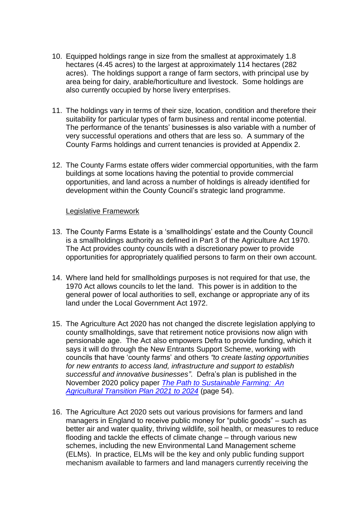- 10. Equipped holdings range in size from the smallest at approximately 1.8 hectares (4.45 acres) to the largest at approximately 114 hectares (282 acres). The holdings support a range of farm sectors, with principal use by area being for dairy, arable/horticulture and livestock. Some holdings are also currently occupied by horse livery enterprises.
- 11. The holdings vary in terms of their size, location, condition and therefore their suitability for particular types of farm business and rental income potential. The performance of the tenants' businesses is also variable with a number of very successful operations and others that are less so. A summary of the County Farms holdings and current tenancies is provided at Appendix 2.
- 12. The County Farms estate offers wider commercial opportunities, with the farm buildings at some locations having the potential to provide commercial opportunities, and land across a number of holdings is already identified for development within the County Council's strategic land programme.

#### Legislative Framework

- 13. The County Farms Estate is a 'smallholdings' estate and the County Council is a smallholdings authority as defined in Part 3 of the Agriculture Act 1970. The Act provides county councils with a discretionary power to provide opportunities for appropriately qualified persons to farm on their own account.
- 14. Where land held for smallholdings purposes is not required for that use, the 1970 Act allows councils to let the land. This power is in addition to the general power of local authorities to sell, exchange or appropriate any of its land under the Local Government Act 1972.
- 15. The Agriculture Act 2020 has not changed the discrete legislation applying to county smallholdings, save that retirement notice provisions now align with pensionable age. The Act also empowers Defra to provide funding, which it says it will do through the New Entrants Support Scheme, working with councils that have 'county farms' and others *"to create lasting opportunities for new entrants to access land, infrastructure and support to establish successful and innovative businesses"*. Defra's plan is published in the November 2020 policy paper *[The Path to Sustainable Farming: An](https://assets.publishing.service.gov.uk/government/uploads/system/uploads/attachment_data/file/954283/agricultural-transition-plan.pdf)  [Agricultural Transition Plan 2021 to 2024](https://assets.publishing.service.gov.uk/government/uploads/system/uploads/attachment_data/file/954283/agricultural-transition-plan.pdf)* (page 54).
- 16. The Agriculture Act 2020 sets out various provisions for farmers and land managers in England to receive public money for "public goods" – such as better air and water quality, thriving wildlife, soil health, or measures to reduce flooding and tackle the effects of climate change – through various new schemes, including the new Environmental Land Management scheme (ELMs). In practice, ELMs will be the key and only public funding support mechanism available to farmers and land managers currently receiving the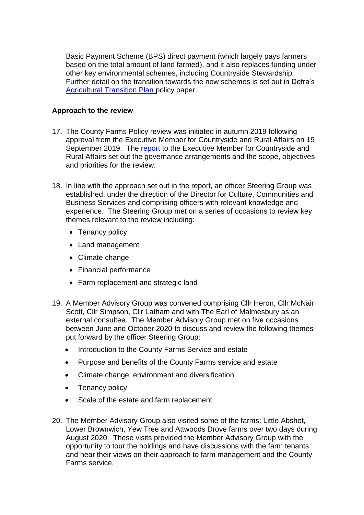Basic Payment Scheme (BPS) direct payment (which largely pays farmers based on the total amount of land farmed), and it also replaces funding under other key environmental schemes, including Countryside Stewardship. Further detail on the transition towards the new schemes is set out in Defra's [Agricultural Transition Plan](https://www.gov.uk/government/publications/agricultural-transition-plan-2021-to-2024) policy paper.

#### **Approach to the review**

- 17. The County Farms Policy review was initiated in autumn 2019 following approval from the Executive Member for Countryside and Rural Affairs on 19 September 2019. The [report](https://democracy.hants.gov.uk/documents/s38196/2019-09-19%20FINAL%20EMCRA%20RPT%20-%20County%20Farms%20Policy%20Review.pdf) to the Executive Member for Countryside and Rural Affairs set out the governance arrangements and the scope, objectives and priorities for the review.
- 18. In line with the approach set out in the report, an officer Steering Group was established, under the direction of the Director for Culture, Communities and Business Services and comprising officers with relevant knowledge and experience. The Steering Group met on a series of occasions to review key themes relevant to the review including:
	- Tenancy policy
	- Land management
	- Climate change
	- Financial performance
	- Farm replacement and strategic land
- 19. A Member Advisory Group was convened comprising Cllr Heron, Cllr McNair Scott, Cllr Simpson, Cllr Latham and with The Earl of Malmesbury as an external consultee. The Member Advisory Group met on five occasions between June and October 2020 to discuss and review the following themes put forward by the officer Steering Group:
	- Introduction to the County Farms Service and estate
	- Purpose and benefits of the County Farms service and estate
	- Climate change, environment and diversification
	- Tenancy policy
	- Scale of the estate and farm replacement
- 20. The Member Advisory Group also visited some of the farms: Little Abshot, Lower Brownwich, Yew Tree and Attwoods Drove farms over two days during August 2020. These visits provided the Member Advisory Group with the opportunity to tour the holdings and have discussions with the farm tenants and hear their views on their approach to farm management and the County Farms service.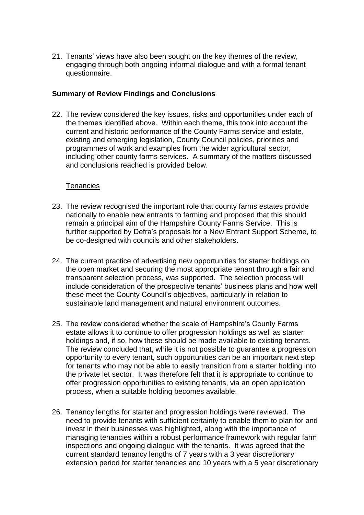21. Tenants' views have also been sought on the key themes of the review, engaging through both ongoing informal dialogue and with a formal tenant questionnaire.

#### **Summary of Review Findings and Conclusions**

22. The review considered the key issues, risks and opportunities under each of the themes identified above. Within each theme, this took into account the current and historic performance of the County Farms service and estate, existing and emerging legislation, County Council policies, priorities and programmes of work and examples from the wider agricultural sector, including other county farms services. A summary of the matters discussed and conclusions reached is provided below.

#### **Tenancies**

- 23. The review recognised the important role that county farms estates provide nationally to enable new entrants to farming and proposed that this should remain a principal aim of the Hampshire County Farms Service. This is further supported by Defra's proposals for a New Entrant Support Scheme, to be co-designed with councils and other stakeholders.
- 24. The current practice of advertising new opportunities for starter holdings on the open market and securing the most appropriate tenant through a fair and transparent selection process, was supported. The selection process will include consideration of the prospective tenants' business plans and how well these meet the County Council's objectives, particularly in relation to sustainable land management and natural environment outcomes.
- 25. The review considered whether the scale of Hampshire's County Farms estate allows it to continue to offer progression holdings as well as starter holdings and, if so, how these should be made available to existing tenants. The review concluded that, while it is not possible to guarantee a progression opportunity to every tenant, such opportunities can be an important next step for tenants who may not be able to easily transition from a starter holding into the private let sector. It was therefore felt that it is appropriate to continue to offer progression opportunities to existing tenants, via an open application process, when a suitable holding becomes available.
- 26. Tenancy lengths for starter and progression holdings were reviewed. The need to provide tenants with sufficient certainty to enable them to plan for and invest in their businesses was highlighted, along with the importance of managing tenancies within a robust performance framework with regular farm inspections and ongoing dialogue with the tenants. It was agreed that the current standard tenancy lengths of 7 years with a 3 year discretionary extension period for starter tenancies and 10 years with a 5 year discretionary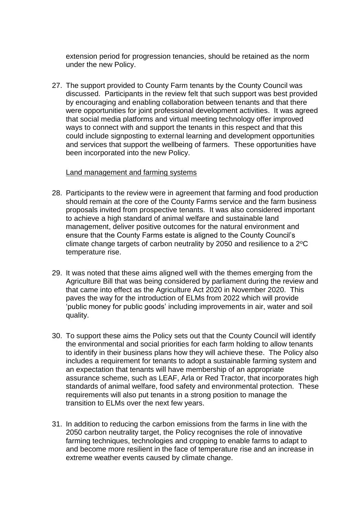extension period for progression tenancies, should be retained as the norm under the new Policy.

27. The support provided to County Farm tenants by the County Council was discussed. Participants in the review felt that such support was best provided by encouraging and enabling collaboration between tenants and that there were opportunities for joint professional development activities. It was agreed that social media platforms and virtual meeting technology offer improved ways to connect with and support the tenants in this respect and that this could include signposting to external learning and development opportunities and services that support the wellbeing of farmers. These opportunities have been incorporated into the new Policy.

#### Land management and farming systems

- 28. Participants to the review were in agreement that farming and food production should remain at the core of the County Farms service and the farm business proposals invited from prospective tenants. It was also considered important to achieve a high standard of animal welfare and sustainable land management, deliver positive outcomes for the natural environment and ensure that the County Farms estate is aligned to the County Council's climate change targets of carbon neutrality by 2050 and resilience to a  $2^{\circ}$ C temperature rise.
- 29. It was noted that these aims aligned well with the themes emerging from the Agriculture Bill that was being considered by parliament during the review and that came into effect as the Agriculture Act 2020 in November 2020. This paves the way for the introduction of ELMs from 2022 which will provide 'public money for public goods' including improvements in air, water and soil quality.
- 30. To support these aims the Policy sets out that the County Council will identify the environmental and social priorities for each farm holding to allow tenants to identify in their business plans how they will achieve these. The Policy also includes a requirement for tenants to adopt a sustainable farming system and an expectation that tenants will have membership of an appropriate assurance scheme, such as LEAF, Arla or Red Tractor, that incorporates high standards of animal welfare, food safety and environmental protection. These requirements will also put tenants in a strong position to manage the transition to ELMs over the next few years.
- 31. In addition to reducing the carbon emissions from the farms in line with the 2050 carbon neutrality target, the Policy recognises the role of innovative farming techniques, technologies and cropping to enable farms to adapt to and become more resilient in the face of temperature rise and an increase in extreme weather events caused by climate change.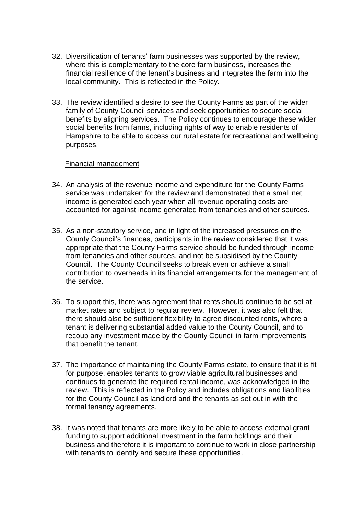- 32. Diversification of tenants' farm businesses was supported by the review, where this is complementary to the core farm business, increases the financial resilience of the tenant's business and integrates the farm into the local community. This is reflected in the Policy.
- 33. The review identified a desire to see the County Farms as part of the wider family of County Council services and seek opportunities to secure social benefits by aligning services. The Policy continues to encourage these wider social benefits from farms, including rights of way to enable residents of Hampshire to be able to access our rural estate for recreational and wellbeing purposes.

#### Financial management

- 34. An analysis of the revenue income and expenditure for the County Farms service was undertaken for the review and demonstrated that a small net income is generated each year when all revenue operating costs are accounted for against income generated from tenancies and other sources.
- 35. As a non-statutory service, and in light of the increased pressures on the County Council's finances, participants in the review considered that it was appropriate that the County Farms service should be funded through income from tenancies and other sources, and not be subsidised by the County Council. The County Council seeks to break even or achieve a small contribution to overheads in its financial arrangements for the management of the service.
- 36. To support this, there was agreement that rents should continue to be set at market rates and subject to regular review. However, it was also felt that there should also be sufficient flexibility to agree discounted rents, where a tenant is delivering substantial added value to the County Council, and to recoup any investment made by the County Council in farm improvements that benefit the tenant.
- 37. The importance of maintaining the County Farms estate, to ensure that it is fit for purpose, enables tenants to grow viable agricultural businesses and continues to generate the required rental income, was acknowledged in the review. This is reflected in the Policy and includes obligations and liabilities for the County Council as landlord and the tenants as set out in with the formal tenancy agreements.
- 38. It was noted that tenants are more likely to be able to access external grant funding to support additional investment in the farm holdings and their business and therefore it is important to continue to work in close partnership with tenants to identify and secure these opportunities.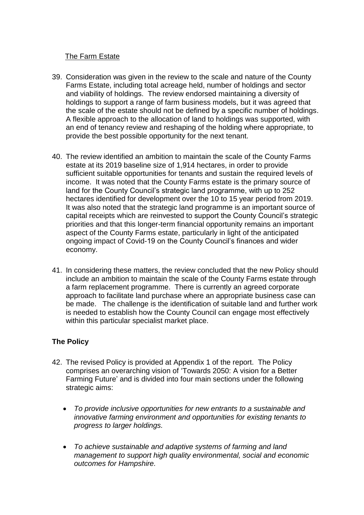### The Farm Estate

- 39. Consideration was given in the review to the scale and nature of the County Farms Estate, including total acreage held, number of holdings and sector and viability of holdings. The review endorsed maintaining a diversity of holdings to support a range of farm business models, but it was agreed that the scale of the estate should not be defined by a specific number of holdings. A flexible approach to the allocation of land to holdings was supported, with an end of tenancy review and reshaping of the holding where appropriate, to provide the best possible opportunity for the next tenant.
- 40. The review identified an ambition to maintain the scale of the County Farms estate at its 2019 baseline size of 1,914 hectares, in order to provide sufficient suitable opportunities for tenants and sustain the required levels of income. It was noted that the County Farms estate is the primary source of land for the County Council's strategic land programme, with up to 252 hectares identified for development over the 10 to 15 year period from 2019. It was also noted that the strategic land programme is an important source of capital receipts which are reinvested to support the County Council's strategic priorities and that this longer-term financial opportunity remains an important aspect of the County Farms estate, particularly in light of the anticipated ongoing impact of Covid-19 on the County Council's finances and wider economy.
- 41. In considering these matters, the review concluded that the new Policy should include an ambition to maintain the scale of the County Farms estate through a farm replacement programme. There is currently an agreed corporate approach to facilitate land purchase where an appropriate business case can be made. The challenge is the identification of suitable land and further work is needed to establish how the County Council can engage most effectively within this particular specialist market place.

## **The Policy**

- 42. The revised Policy is provided at Appendix 1 of the report. The Policy comprises an overarching vision of 'Towards 2050: A vision for a Better Farming Future' and is divided into four main sections under the following strategic aims:
	- *To provide inclusive opportunities for new entrants to a sustainable and innovative farming environment and opportunities for existing tenants to progress to larger holdings.*
	- *To achieve sustainable and adaptive systems of farming and land management to support high quality environmental, social and economic outcomes for Hampshire.*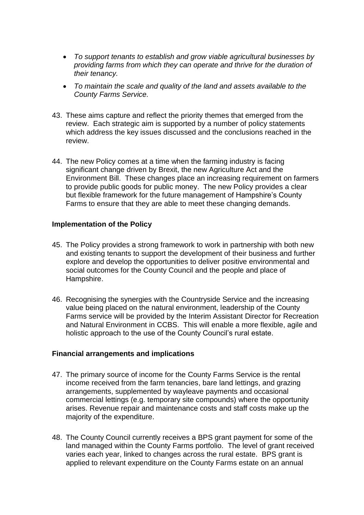- *To support tenants to establish and grow viable agricultural businesses by providing farms from which they can operate and thrive for the duration of their tenancy.*
- *To maintain the scale and quality of the land and assets available to the County Farms Service.*
- 43. These aims capture and reflect the priority themes that emerged from the review. Each strategic aim is supported by a number of policy statements which address the key issues discussed and the conclusions reached in the review.
- 44. The new Policy comes at a time when the farming industry is facing significant change driven by Brexit, the new Agriculture Act and the Environment Bill. These changes place an increasing requirement on farmers to provide public goods for public money. The new Policy provides a clear but flexible framework for the future management of Hampshire's County Farms to ensure that they are able to meet these changing demands.

#### **Implementation of the Policy**

- 45. The Policy provides a strong framework to work in partnership with both new and existing tenants to support the development of their business and further explore and develop the opportunities to deliver positive environmental and social outcomes for the County Council and the people and place of Hampshire.
- 46. Recognising the synergies with the Countryside Service and the increasing value being placed on the natural environment, leadership of the County Farms service will be provided by the Interim Assistant Director for Recreation and Natural Environment in CCBS. This will enable a more flexible, agile and holistic approach to the use of the County Council's rural estate.

#### **Financial arrangements and implications**

- 47. The primary source of income for the County Farms Service is the rental income received from the farm tenancies, bare land lettings, and grazing arrangements, supplemented by wayleave payments and occasional commercial lettings (e.g. temporary site compounds) where the opportunity arises. Revenue repair and maintenance costs and staff costs make up the majority of the expenditure.
- 48. The County Council currently receives a BPS grant payment for some of the land managed within the County Farms portfolio. The level of grant received varies each year, linked to changes across the rural estate. BPS grant is applied to relevant expenditure on the County Farms estate on an annual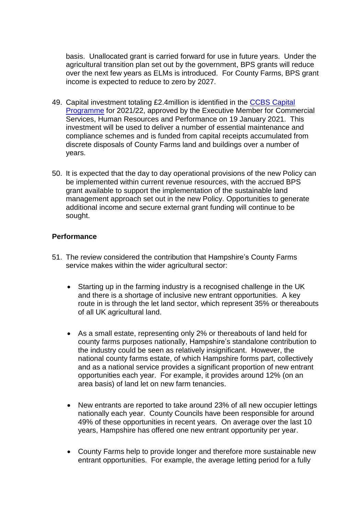basis. Unallocated grant is carried forward for use in future years. Under the agricultural transition plan set out by the government, BPS grants will reduce over the next few years as ELMs is introduced. For County Farms, BPS grant income is expected to reduce to zero by 2027.

- 49. Capital investment totaling £2.4million is identified in the [CCBS Capital](https://democracy.hants.gov.uk/documents/s64724/Item%202%20Report%202021-01-19%20FINAL%20EMCSHRP%20Capital%20Programme%20for%20CCBS.pdf)  [Programme](https://democracy.hants.gov.uk/documents/s64724/Item%202%20Report%202021-01-19%20FINAL%20EMCSHRP%20Capital%20Programme%20for%20CCBS.pdf) for 2021/22, approved by the Executive Member for Commercial Services, Human Resources and Performance on 19 January 2021. This investment will be used to deliver a number of essential maintenance and compliance schemes and is funded from capital receipts accumulated from discrete disposals of County Farms land and buildings over a number of years.
- 50. It is expected that the day to day operational provisions of the new Policy can be implemented within current revenue resources, with the accrued BPS grant available to support the implementation of the sustainable land management approach set out in the new Policy. Opportunities to generate additional income and secure external grant funding will continue to be sought.

#### **Performance**

- 51. The review considered the contribution that Hampshire's County Farms service makes within the wider agricultural sector:
	- Starting up in the farming industry is a recognised challenge in the UK and there is a shortage of inclusive new entrant opportunities. A key route in is through the let land sector, which represent 35% or thereabouts of all UK agricultural land.
	- As a small estate, representing only 2% or thereabouts of land held for county farms purposes nationally, Hampshire's standalone contribution to the industry could be seen as relatively insignificant. However, the national county farms estate, of which Hampshire forms part, collectively and as a national service provides a significant proportion of new entrant opportunities each year. For example, it provides around 12% (on an area basis) of land let on new farm tenancies.
	- New entrants are reported to take around 23% of all new occupier lettings nationally each year. County Councils have been responsible for around 49% of these opportunities in recent years. On average over the last 10 years, Hampshire has offered one new entrant opportunity per year.
	- County Farms help to provide longer and therefore more sustainable new entrant opportunities. For example, the average letting period for a fully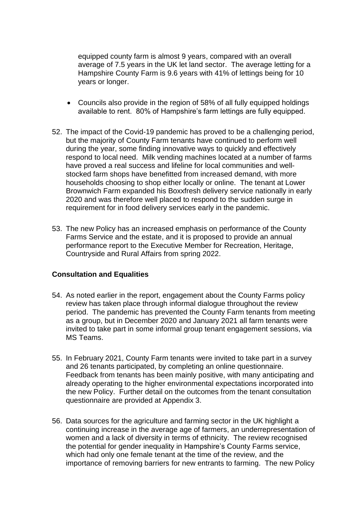equipped county farm is almost 9 years, compared with an overall average of 7.5 years in the UK let land sector. The average letting for a Hampshire County Farm is 9.6 years with 41% of lettings being for 10 years or longer.

- Councils also provide in the region of 58% of all fully equipped holdings available to rent. 80% of Hampshire's farm lettings are fully equipped.
- 52. The impact of the Covid-19 pandemic has proved to be a challenging period, but the majority of County Farm tenants have continued to perform well during the year, some finding innovative ways to quickly and effectively respond to local need. Milk vending machines located at a number of farms have proved a real success and lifeline for local communities and wellstocked farm shops have benefitted from increased demand, with more households choosing to shop either locally or online. The tenant at Lower Brownwich Farm expanded his Boxxfresh delivery service nationally in early 2020 and was therefore well placed to respond to the sudden surge in requirement for in food delivery services early in the pandemic.
- 53. The new Policy has an increased emphasis on performance of the County Farms Service and the estate, and it is proposed to provide an annual performance report to the Executive Member for Recreation, Heritage, Countryside and Rural Affairs from spring 2022.

#### **Consultation and Equalities**

- 54. As noted earlier in the report, engagement about the County Farms policy review has taken place through informal dialogue throughout the review period.The pandemic has prevented the County Farm tenants from meeting as a group, but in December 2020 and January 2021 all farm tenants were invited to take part in some informal group tenant engagement sessions, via MS Teams.
- 55. In February 2021, County Farm tenants were invited to take part in a survey and 26 tenants participated, by completing an online questionnaire. Feedback from tenants has been mainly positive, with many anticipating and already operating to the higher environmental expectations incorporated into the new Policy. Further detail on the outcomes from the tenant consultation questionnaire are provided at Appendix 3.
- 56. Data sources for the agriculture and farming sector in the UK highlight a continuing increase in the average age of farmers, an underrepresentation of women and a lack of diversity in terms of ethnicity. The review recognised the potential for gender inequality in Hampshire's County Farms service, which had only one female tenant at the time of the review, and the importance of removing barriers for new entrants to farming. The new Policy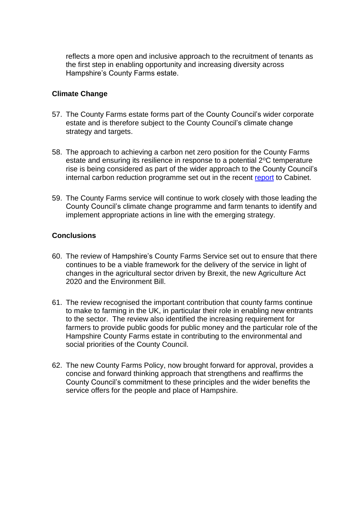reflects a more open and inclusive approach to the recruitment of tenants as the first step in enabling opportunity and increasing diversity across Hampshire's County Farms estate.

### **Climate Change**

- 57. The County Farms estate forms part of the County Council's wider corporate estate and is therefore subject to the County Council's climate change strategy and targets.
- 58. The approach to achieving a carbon net zero position for the County Farms estate and ensuring its resilience in response to a potential 2°C temperature rise is being considered as part of the wider approach to the County Council's internal carbon reduction programme set out in the recent [report](https://democracy.hants.gov.uk/documents/s65896/Internal%20Carbon%20Reduction.pdf) to Cabinet.
- 59. The County Farms service will continue to work closely with those leading the County Council's climate change programme and farm tenants to identify and implement appropriate actions in line with the emerging strategy.

### **Conclusions**

- 60. The review of Hampshire's County Farms Service set out to ensure that there continues to be a viable framework for the delivery of the service in light of changes in the agricultural sector driven by Brexit, the new Agriculture Act 2020 and the Environment Bill.
- 61. The review recognised the important contribution that county farms continue to make to farming in the UK, in particular their role in enabling new entrants to the sector. The review also identified the increasing requirement for farmers to provide public goods for public money and the particular role of the Hampshire County Farms estate in contributing to the environmental and social priorities of the County Council.
- 62. The new County Farms Policy, now brought forward for approval, provides a concise and forward thinking approach that strengthens and reaffirms the County Council's commitment to these principles and the wider benefits the service offers for the people and place of Hampshire.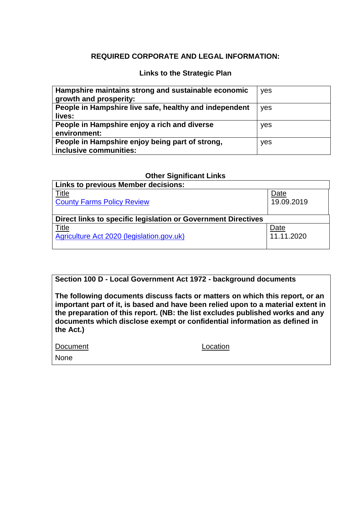### **REQUIRED CORPORATE AND LEGAL INFORMATION:**

### **Links to the Strategic Plan**

| Hampshire maintains strong and sustainable economic<br>growth and prosperity: | yes |
|-------------------------------------------------------------------------------|-----|
| People in Hampshire live safe, healthy and independent<br>lives:              | yes |
| People in Hampshire enjoy a rich and diverse<br>environment:                  | yes |
| People in Hampshire enjoy being part of strong,<br>inclusive communities:     | yes |

#### **Other Significant Links**

| <b>Links to previous Member decisions:</b>                    |            |  |  |  |
|---------------------------------------------------------------|------------|--|--|--|
| <u>Title</u>                                                  | Date       |  |  |  |
| <b>County Farms Policy Review</b>                             | 19.09.2019 |  |  |  |
|                                                               |            |  |  |  |
| Direct links to specific legislation or Government Directives |            |  |  |  |
| Title                                                         | Date       |  |  |  |
| Agriculture Act 2020 (legislation.gov.uk)                     | 11.11.2020 |  |  |  |
|                                                               |            |  |  |  |

**Section 100 D - Local Government Act 1972 - background documents**

**The following documents discuss facts or matters on which this report, or an important part of it, is based and have been relied upon to a material extent in the preparation of this report. (NB: the list excludes published works and any documents which disclose exempt or confidential information as defined in the Act.)**

| Document | Location |
|----------|----------|
| None     |          |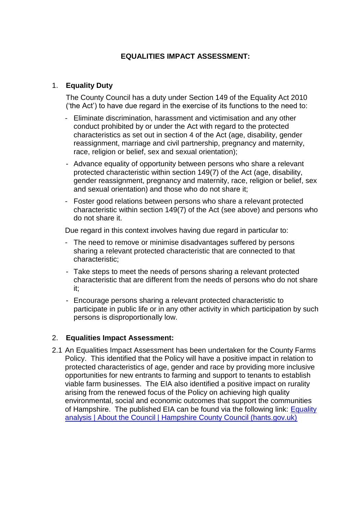### **EQUALITIES IMPACT ASSESSMENT:**

### 1. **Equality Duty**

The County Council has a duty under Section 149 of the Equality Act 2010 ('the Act') to have due regard in the exercise of its functions to the need to:

- Eliminate discrimination, harassment and victimisation and any other conduct prohibited by or under the Act with regard to the protected characteristics as set out in section 4 of the Act (age, disability, gender reassignment, marriage and civil partnership, pregnancy and maternity, race, religion or belief, sex and sexual orientation);
- Advance equality of opportunity between persons who share a relevant protected characteristic within section 149(7) of the Act (age, disability, gender reassignment, pregnancy and maternity, race, religion or belief, sex and sexual orientation) and those who do not share it;
- Foster good relations between persons who share a relevant protected characteristic within section 149(7) of the Act (see above) and persons who do not share it.

Due regard in this context involves having due regard in particular to:

- The need to remove or minimise disadvantages suffered by persons sharing a relevant protected characteristic that are connected to that characteristic;
- Take steps to meet the needs of persons sharing a relevant protected characteristic that are different from the needs of persons who do not share it;
- Encourage persons sharing a relevant protected characteristic to participate in public life or in any other activity in which participation by such persons is disproportionally low.

#### 2. **Equalities Impact Assessment:**

2.1 An Equalities Impact Assessment has been undertaken for the County Farms Policy. This identified that the Policy will have a positive impact in relation to protected characteristics of age, gender and race by providing more inclusive opportunities for new entrants to farming and support to tenants to establish viable farm businesses. The EIA also identified a positive impact on rurality arising from the renewed focus of the Policy on achieving high quality environmental, social and economic outcomes that support the communities of Hampshire. The published EIA can be found via the following link: [Equality](https://www.hants.gov.uk/aboutthecouncil/equality/equality-impact-assessment)  [analysis | About the Council | Hampshire County Council \(hants.gov.uk\)](https://www.hants.gov.uk/aboutthecouncil/equality/equality-impact-assessment)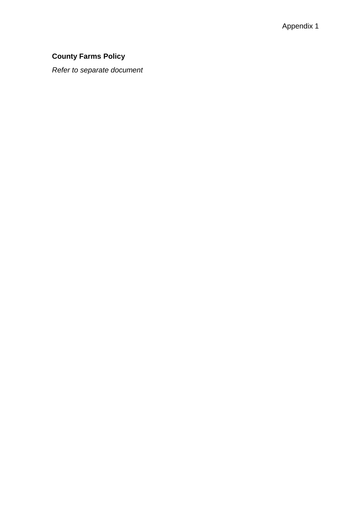# **County Farms Policy**

*Refer to separate document*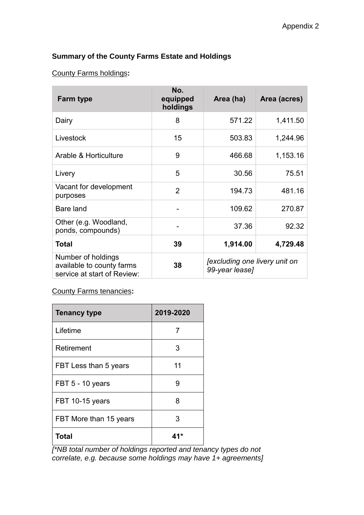# **Summary of the County Farms Estate and Holdings**

### County Farms holdings**:**

| <b>Farm type</b>                                                               | No.<br>equipped<br>holdings | Area (ha)                                       | Area (acres) |
|--------------------------------------------------------------------------------|-----------------------------|-------------------------------------------------|--------------|
| Dairy                                                                          | 8                           | 571.22                                          | 1,411.50     |
| Livestock                                                                      | 15                          | 503.83                                          | 1,244.96     |
| Arable & Horticulture                                                          | 9                           | 466.68                                          | 1,153.16     |
| Livery                                                                         | 5                           | 30.56                                           | 75.51        |
| Vacant for development<br>purposes                                             | $\overline{2}$              | 194.73                                          | 481.16       |
| Bare land                                                                      |                             | 109.62                                          | 270.87       |
| Other (e.g. Woodland,<br>ponds, compounds)                                     |                             | 37.36                                           | 92.32        |
| <b>Total</b>                                                                   | 39                          | 1,914.00                                        | 4,729.48     |
| Number of holdings<br>available to county farms<br>service at start of Review: | 38                          | [excluding one livery unit on<br>99-year lease] |              |

### County Farms tenancies**:**

| <b>Tenancy type</b>    | 2019-2020 |  |
|------------------------|-----------|--|
| Lifetime               | 7         |  |
| Retirement             | 3         |  |
| FBT Less than 5 years  | 11        |  |
| FBT 5 - 10 years       | 9         |  |
| FBT 10-15 years        | 8         |  |
| FBT More than 15 years | 3         |  |
| Total                  |           |  |

*[\*NB total number of holdings reported and tenancy types do not correlate, e.g. because some holdings may have 1+ agreements]*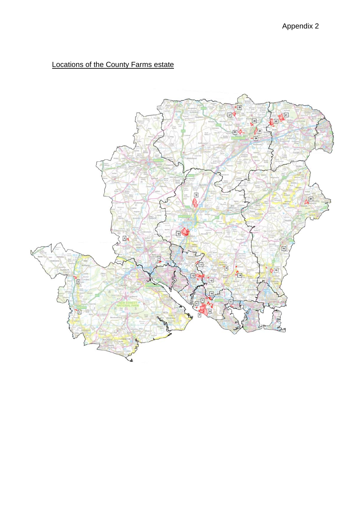# Locations of the County Farms estate

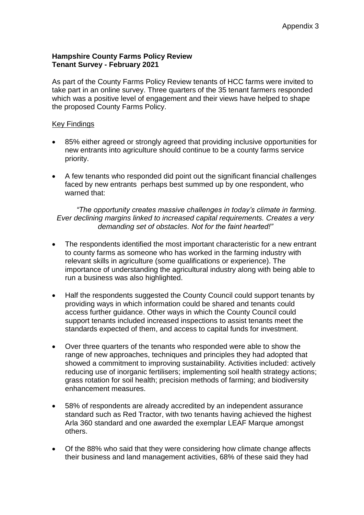### **Hampshire County Farms Policy Review Tenant Survey - February 2021**

As part of the County Farms Policy Review tenants of HCC farms were invited to take part in an online survey. Three quarters of the 35 tenant farmers responded which was a positive level of engagement and their views have helped to shape the proposed County Farms Policy.

### Key Findings

- 85% either agreed or strongly agreed that providing inclusive opportunities for new entrants into agriculture should continue to be a county farms service priority.
- A few tenants who responded did point out the significant financial challenges faced by new entrants perhaps best summed up by one respondent, who warned that:

*"The opportunity creates massive challenges in today's climate in farming. Ever declining margins linked to increased capital requirements. Creates a very demanding set of obstacles. Not for the faint hearted!"*

- The respondents identified the most important characteristic for a new entrant to county farms as someone who has worked in the farming industry with relevant skills in agriculture (some qualifications or experience). The importance of understanding the agricultural industry along with being able to run a business was also highlighted.
- Half the respondents suggested the County Council could support tenants by providing ways in which information could be shared and tenants could access further guidance. Other ways in which the County Council could support tenants included increased inspections to assist tenants meet the standards expected of them, and access to capital funds for investment.
- Over three quarters of the tenants who responded were able to show the range of new approaches, techniques and principles they had adopted that showed a commitment to improving sustainability. Activities included: actively reducing use of inorganic fertilisers; implementing soil health strategy actions; grass rotation for soil health; precision methods of farming; and biodiversity enhancement measures.
- 58% of respondents are already accredited by an independent assurance standard such as Red Tractor, with two tenants having achieved the highest Arla 360 standard and one awarded the exemplar LEAF Marque amongst others.
- Of the 88% who said that they were considering how climate change affects their business and land management activities, 68% of these said they had